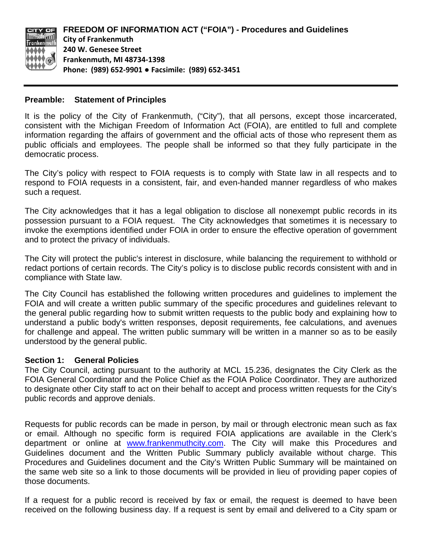

#### **Preamble: Statement of Principles**

It is the policy of the City of Frankenmuth, ("City"), that all persons, except those incarcerated, consistent with the Michigan Freedom of Information Act (FOIA), are entitled to full and complete information regarding the affairs of government and the official acts of those who represent them as public officials and employees. The people shall be informed so that they fully participate in the democratic process.

The City's policy with respect to FOIA requests is to comply with State law in all respects and to respond to FOIA requests in a consistent, fair, and even-handed manner regardless of who makes such a request.

The City acknowledges that it has a legal obligation to disclose all nonexempt public records in its possession pursuant to a FOIA request. The City acknowledges that sometimes it is necessary to invoke the exemptions identified under FOIA in order to ensure the effective operation of government and to protect the privacy of individuals.

The City will protect the public's interest in disclosure, while balancing the requirement to withhold or redact portions of certain records. The City's policy is to disclose public records consistent with and in compliance with State law.

The City Council has established the following written procedures and guidelines to implement the FOIA and will create a written public summary of the specific procedures and guidelines relevant to the general public regarding how to submit written requests to the public body and explaining how to understand a public body's written responses, deposit requirements, fee calculations, and avenues for challenge and appeal. The written public summary will be written in a manner so as to be easily understood by the general public.

#### **Section 1: General Policies**

The City Council, acting pursuant to the authority at MCL 15.236, designates the City Clerk as the FOIA General Coordinator and the Police Chief as the FOIA Police Coordinator. They are authorized to designate other City staff to act on their behalf to accept and process written requests for the City's public records and approve denials.

Requests for public records can be made in person, by mail or through electronic mean such as fax or email. Although no specific form is required FOIA applications are available in the Clerk's department or online at www.frankenmuthcity.com. The City will make this Procedures and Guidelines document and the Written Public Summary publicly available without charge. This Procedures and Guidelines document and the City's Written Public Summary will be maintained on the same web site so a link to those documents will be provided in lieu of providing paper copies of those documents.

If a request for a public record is received by fax or email, the request is deemed to have been received on the following business day. If a request is sent by email and delivered to a City spam or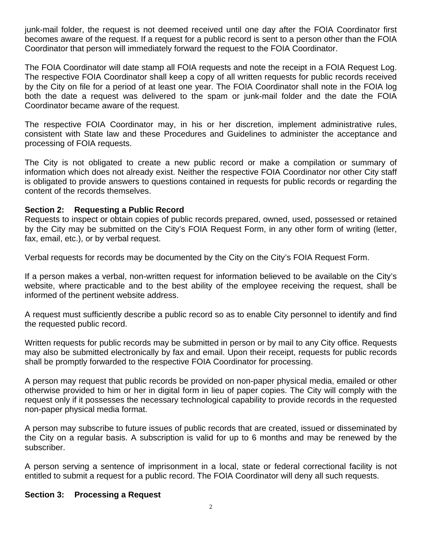junk-mail folder, the request is not deemed received until one day after the FOIA Coordinator first becomes aware of the request. If a request for a public record is sent to a person other than the FOIA Coordinator that person will immediately forward the request to the FOIA Coordinator.

The FOIA Coordinator will date stamp all FOIA requests and note the receipt in a FOIA Request Log. The respective FOIA Coordinator shall keep a copy of all written requests for public records received by the City on file for a period of at least one year. The FOIA Coordinator shall note in the FOIA log both the date a request was delivered to the spam or junk-mail folder and the date the FOIA Coordinator became aware of the request.

The respective FOIA Coordinator may, in his or her discretion, implement administrative rules, consistent with State law and these Procedures and Guidelines to administer the acceptance and processing of FOIA requests.

The City is not obligated to create a new public record or make a compilation or summary of information which does not already exist. Neither the respective FOIA Coordinator nor other City staff is obligated to provide answers to questions contained in requests for public records or regarding the content of the records themselves.

## **Section 2: Requesting a Public Record**

Requests to inspect or obtain copies of public records prepared, owned, used, possessed or retained by the City may be submitted on the City's FOIA Request Form, in any other form of writing (letter, fax, email, etc.), or by verbal request.

Verbal requests for records may be documented by the City on the City's FOIA Request Form.

If a person makes a verbal, non-written request for information believed to be available on the City's website, where practicable and to the best ability of the employee receiving the request, shall be informed of the pertinent website address.

A request must sufficiently describe a public record so as to enable City personnel to identify and find the requested public record.

Written requests for public records may be submitted in person or by mail to any City office. Requests may also be submitted electronically by fax and email. Upon their receipt, requests for public records shall be promptly forwarded to the respective FOIA Coordinator for processing.

A person may request that public records be provided on non-paper physical media, emailed or other otherwise provided to him or her in digital form in lieu of paper copies. The City will comply with the request only if it possesses the necessary technological capability to provide records in the requested non-paper physical media format.

A person may subscribe to future issues of public records that are created, issued or disseminated by the City on a regular basis. A subscription is valid for up to 6 months and may be renewed by the subscriber.

A person serving a sentence of imprisonment in a local, state or federal correctional facility is not entitled to submit a request for a public record. The FOIA Coordinator will deny all such requests.

### **Section 3: Processing a Request**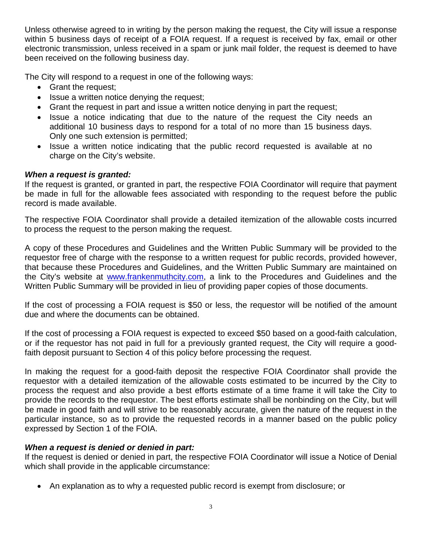Unless otherwise agreed to in writing by the person making the request, the City will issue a response within 5 business days of receipt of a FOIA request. If a request is received by fax, email or other electronic transmission, unless received in a spam or junk mail folder, the request is deemed to have been received on the following business day.

The City will respond to a request in one of the following ways:

- Grant the request;
- Issue a written notice denying the request;
- Grant the request in part and issue a written notice denying in part the request;
- Issue a notice indicating that due to the nature of the request the City needs an additional 10 business days to respond for a total of no more than 15 business days. Only one such extension is permitted;
- Issue a written notice indicating that the public record requested is available at no charge on the City's website.

# *When a request is granted:*

If the request is granted, or granted in part, the respective FOIA Coordinator will require that payment be made in full for the allowable fees associated with responding to the request before the public record is made available.

The respective FOIA Coordinator shall provide a detailed itemization of the allowable costs incurred to process the request to the person making the request.

A copy of these Procedures and Guidelines and the Written Public Summary will be provided to the requestor free of charge with the response to a written request for public records, provided however, that because these Procedures and Guidelines, and the Written Public Summary are maintained on the City's website at www.frankenmuthcity.com, a link to the Procedures and Guidelines and the Written Public Summary will be provided in lieu of providing paper copies of those documents.

If the cost of processing a FOIA request is \$50 or less, the requestor will be notified of the amount due and where the documents can be obtained.

If the cost of processing a FOIA request is expected to exceed \$50 based on a good-faith calculation, or if the requestor has not paid in full for a previously granted request, the City will require a goodfaith deposit pursuant to Section 4 of this policy before processing the request.

In making the request for a good-faith deposit the respective FOIA Coordinator shall provide the requestor with a detailed itemization of the allowable costs estimated to be incurred by the City to process the request and also provide a best efforts estimate of a time frame it will take the City to provide the records to the requestor. The best efforts estimate shall be nonbinding on the City, but will be made in good faith and will strive to be reasonably accurate, given the nature of the request in the particular instance, so as to provide the requested records in a manner based on the public policy expressed by Section 1 of the FOIA.

# *When a request is denied or denied in part:*

If the request is denied or denied in part, the respective FOIA Coordinator will issue a Notice of Denial which shall provide in the applicable circumstance:

An explanation as to why a requested public record is exempt from disclosure; or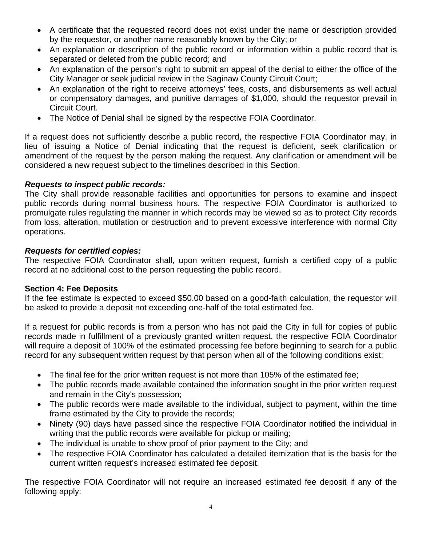- A certificate that the requested record does not exist under the name or description provided by the requestor, or another name reasonably known by the City; or
- An explanation or description of the public record or information within a public record that is separated or deleted from the public record; and
- An explanation of the person's right to submit an appeal of the denial to either the office of the City Manager or seek judicial review in the Saginaw County Circuit Court;
- An explanation of the right to receive attorneys' fees, costs, and disbursements as well actual or compensatory damages, and punitive damages of \$1,000, should the requestor prevail in Circuit Court.
- The Notice of Denial shall be signed by the respective FOIA Coordinator.

If a request does not sufficiently describe a public record, the respective FOIA Coordinator may, in lieu of issuing a Notice of Denial indicating that the request is deficient, seek clarification or amendment of the request by the person making the request. Any clarification or amendment will be considered a new request subject to the timelines described in this Section.

## *Requests to inspect public records:*

The City shall provide reasonable facilities and opportunities for persons to examine and inspect public records during normal business hours. The respective FOIA Coordinator is authorized to promulgate rules regulating the manner in which records may be viewed so as to protect City records from loss, alteration, mutilation or destruction and to prevent excessive interference with normal City operations.

### *Requests for certified copies:*

The respective FOIA Coordinator shall, upon written request, furnish a certified copy of a public record at no additional cost to the person requesting the public record.

### **Section 4: Fee Deposits**

If the fee estimate is expected to exceed \$50.00 based on a good-faith calculation, the requestor will be asked to provide a deposit not exceeding one-half of the total estimated fee.

If a request for public records is from a person who has not paid the City in full for copies of public records made in fulfillment of a previously granted written request, the respective FOIA Coordinator will require a deposit of 100% of the estimated processing fee before beginning to search for a public record for any subsequent written request by that person when all of the following conditions exist:

- The final fee for the prior written request is not more than 105% of the estimated fee;
- The public records made available contained the information sought in the prior written request and remain in the City's possession;
- The public records were made available to the individual, subject to payment, within the time frame estimated by the City to provide the records;
- Ninety (90) days have passed since the respective FOIA Coordinator notified the individual in writing that the public records were available for pickup or mailing;
- The individual is unable to show proof of prior payment to the City; and
- The respective FOIA Coordinator has calculated a detailed itemization that is the basis for the current written request's increased estimated fee deposit.

The respective FOIA Coordinator will not require an increased estimated fee deposit if any of the following apply: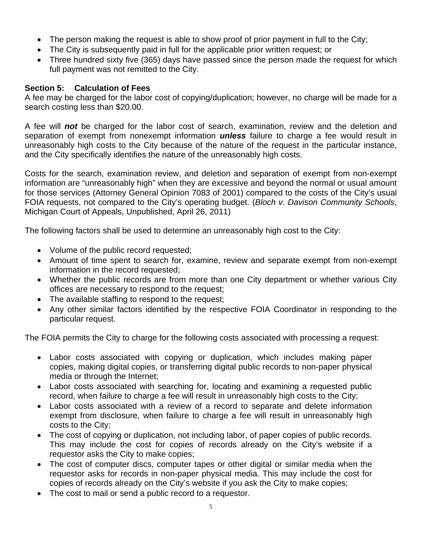- The person making the request is able to show proof of prior payment in full to the City;
- The City is subsequently paid in full for the applicable prior written request; or
- Three hundred sixty five (365) days have passed since the person made the request for which full payment was not remitted to the City.

## **Section 5: Calculation of Fees**

A fee may be charged for the labor cost of copying/duplication; however, no charge will be made for a search costing less than \$20.00.

A fee will *not* be charged for the labor cost of search, examination, review and the deletion and separation of exempt from nonexempt information *unless* failure to charge a fee would result in unreasonably high costs to the City because of the nature of the request in the particular instance, and the City specifically identifies the nature of the unreasonably high costs.

Costs for the search, examination review, and deletion and separation of exempt from non-exempt information are "unreasonably high" when they are excessive and beyond the normal or usual amount for those services (Attorney General Opinion 7083 of 2001) compared to the costs of the City's usual FOIA requests, not compared to the City's operating budget. (*Bloch v. Davison Community Schools*, Michigan Court of Appeals, Unpublished, April 26, 2011)

The following factors shall be used to determine an unreasonably high cost to the City:

- Volume of the public record requested;
- Amount of time spent to search for, examine, review and separate exempt from non-exempt information in the record requested;
- Whether the public records are from more than one City department or whether various City offices are necessary to respond to the request;
- The available staffing to respond to the request;
- Any other similar factors identified by the respective FOIA Coordinator in responding to the particular request.

The FOIA permits the City to charge for the following costs associated with processing a request:

- Labor costs associated with copying or duplication, which includes making paper copies, making digital copies, or transferring digital public records to non-paper physical media or through the Internet;
- Labor costs associated with searching for, locating and examining a requested public record, when failure to charge a fee will result in unreasonably high costs to the City;
- Labor costs associated with a review of a record to separate and delete information exempt from disclosure, when failure to charge a fee will result in unreasonably high costs to the City;
- The cost of copying or duplication, not including labor, of paper copies of public records. This may include the cost for copies of records already on the City's website if a requestor asks the City to make copies;
- The cost of computer discs, computer tapes or other digital or similar media when the requestor asks for records in non-paper physical media. This may include the cost for copies of records already on the City's website if you ask the City to make copies;
- The cost to mail or send a public record to a requestor.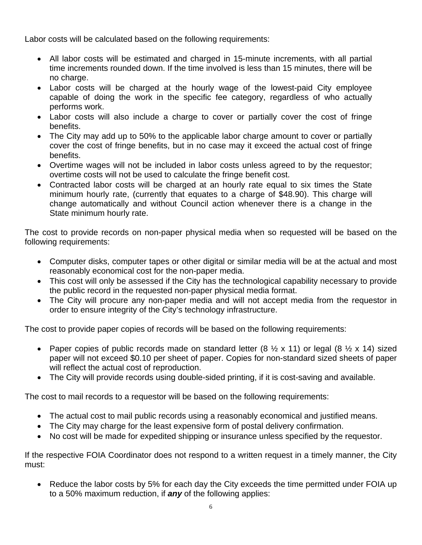Labor costs will be calculated based on the following requirements:

- All labor costs will be estimated and charged in 15-minute increments, with all partial time increments rounded down. If the time involved is less than 15 minutes, there will be no charge.
- Labor costs will be charged at the hourly wage of the lowest-paid City employee capable of doing the work in the specific fee category, regardless of who actually performs work.
- Labor costs will also include a charge to cover or partially cover the cost of fringe benefits.
- The City may add up to 50% to the applicable labor charge amount to cover or partially cover the cost of fringe benefits, but in no case may it exceed the actual cost of fringe benefits.
- Overtime wages will not be included in labor costs unless agreed to by the requestor; overtime costs will not be used to calculate the fringe benefit cost.
- Contracted labor costs will be charged at an hourly rate equal to six times the State minimum hourly rate, (currently that equates to a charge of \$48.90). This charge will change automatically and without Council action whenever there is a change in the State minimum hourly rate.

The cost to provide records on non-paper physical media when so requested will be based on the following requirements:

- Computer disks, computer tapes or other digital or similar media will be at the actual and most reasonably economical cost for the non-paper media.
- This cost will only be assessed if the City has the technological capability necessary to provide the public record in the requested non-paper physical media format.
- The City will procure any non-paper media and will not accept media from the requestor in order to ensure integrity of the City's technology infrastructure.

The cost to provide paper copies of records will be based on the following requirements:

- Paper copies of public records made on standard letter  $(8 \frac{1}{2} \times 11)$  or legal  $(8 \frac{1}{2} \times 14)$  sized paper will not exceed \$0.10 per sheet of paper. Copies for non-standard sized sheets of paper will reflect the actual cost of reproduction.
- The City will provide records using double-sided printing, if it is cost-saving and available.

The cost to mail records to a requestor will be based on the following requirements:

- The actual cost to mail public records using a reasonably economical and justified means.
- The City may charge for the least expensive form of postal delivery confirmation.
- No cost will be made for expedited shipping or insurance unless specified by the requestor.

If the respective FOIA Coordinator does not respond to a written request in a timely manner, the City must:

• Reduce the labor costs by 5% for each day the City exceeds the time permitted under FOIA up to a 50% maximum reduction, if *any* of the following applies: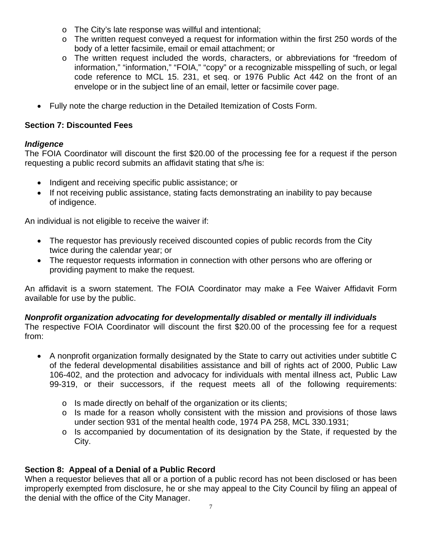- o The City's late response was willful and intentional;
- o The written request conveyed a request for information within the first 250 words of the body of a letter facsimile, email or email attachment; or
- o The written request included the words, characters, or abbreviations for "freedom of information," "information," "FOIA," "copy" or a recognizable misspelling of such, or legal code reference to MCL 15. 231, et seq. or 1976 Public Act 442 on the front of an envelope or in the subject line of an email, letter or facsimile cover page.
- Fully note the charge reduction in the Detailed Itemization of Costs Form.

## **Section 7: Discounted Fees**

### *Indigence*

The FOIA Coordinator will discount the first \$20.00 of the processing fee for a request if the person requesting a public record submits an affidavit stating that s/he is:

- Indigent and receiving specific public assistance; or
- If not receiving public assistance, stating facts demonstrating an inability to pay because of indigence.

An individual is not eligible to receive the waiver if:

- The requestor has previously received discounted copies of public records from the City twice during the calendar year; or
- The requestor requests information in connection with other persons who are offering or providing payment to make the request.

An affidavit is a sworn statement. The FOIA Coordinator may make a Fee Waiver Affidavit Form available for use by the public.

### *Nonprofit organization advocating for developmentally disabled or mentally ill individuals*

The respective FOIA Coordinator will discount the first \$20.00 of the processing fee for a request from:

- A nonprofit organization formally designated by the State to carry out activities under subtitle C of the federal developmental disabilities assistance and bill of rights act of 2000, Public Law 106-402, and the protection and advocacy for individuals with mental illness act, Public Law 99-319, or their successors, if the request meets all of the following requirements:
	- o Is made directly on behalf of the organization or its clients;
	- $\circ$  Is made for a reason wholly consistent with the mission and provisions of those laws under section 931 of the mental health code, 1974 PA 258, MCL 330.1931;
	- $\circ$  Is accompanied by documentation of its designation by the State, if requested by the City.

# **Section 8: Appeal of a Denial of a Public Record**

When a requestor believes that all or a portion of a public record has not been disclosed or has been improperly exempted from disclosure, he or she may appeal to the City Council by filing an appeal of the denial with the office of the City Manager.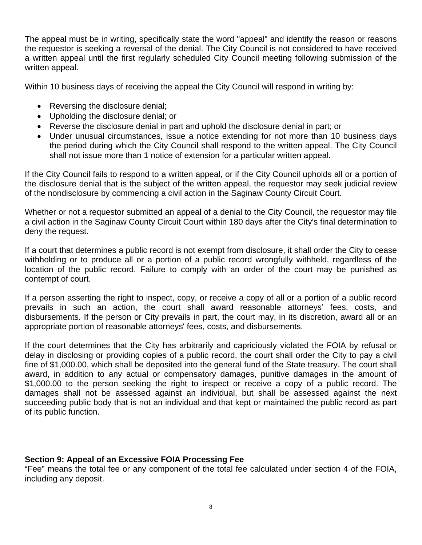The appeal must be in writing, specifically state the word "appeal" and identify the reason or reasons the requestor is seeking a reversal of the denial. The City Council is not considered to have received a written appeal until the first regularly scheduled City Council meeting following submission of the written appeal.

Within 10 business days of receiving the appeal the City Council will respond in writing by:

- Reversing the disclosure denial;
- Upholding the disclosure denial; or
- Reverse the disclosure denial in part and uphold the disclosure denial in part; or
- Under unusual circumstances, issue a notice extending for not more than 10 business days the period during which the City Council shall respond to the written appeal. The City Council shall not issue more than 1 notice of extension for a particular written appeal.

If the City Council fails to respond to a written appeal, or if the City Council upholds all or a portion of the disclosure denial that is the subject of the written appeal, the requestor may seek judicial review of the nondisclosure by commencing a civil action in the Saginaw County Circuit Court.

Whether or not a requestor submitted an appeal of a denial to the City Council, the requestor may file a civil action in the Saginaw County Circuit Court within 180 days after the City's final determination to deny the request.

If a court that determines a public record is not exempt from disclosure, it shall order the City to cease withholding or to produce all or a portion of a public record wrongfully withheld, regardless of the location of the public record. Failure to comply with an order of the court may be punished as contempt of court.

If a person asserting the right to inspect, copy, or receive a copy of all or a portion of a public record prevails in such an action, the court shall award reasonable attorneys' fees, costs, and disbursements. If the person or City prevails in part, the court may, in its discretion, award all or an appropriate portion of reasonable attorneys' fees, costs, and disbursements.

If the court determines that the City has arbitrarily and capriciously violated the FOIA by refusal or delay in disclosing or providing copies of a public record, the court shall order the City to pay a civil fine of \$1,000.00, which shall be deposited into the general fund of the State treasury. The court shall award, in addition to any actual or compensatory damages, punitive damages in the amount of \$1,000.00 to the person seeking the right to inspect or receive a copy of a public record. The damages shall not be assessed against an individual, but shall be assessed against the next succeeding public body that is not an individual and that kept or maintained the public record as part of its public function.

# **Section 9: Appeal of an Excessive FOIA Processing Fee**

"Fee" means the total fee or any component of the total fee calculated under section 4 of the FOIA, including any deposit.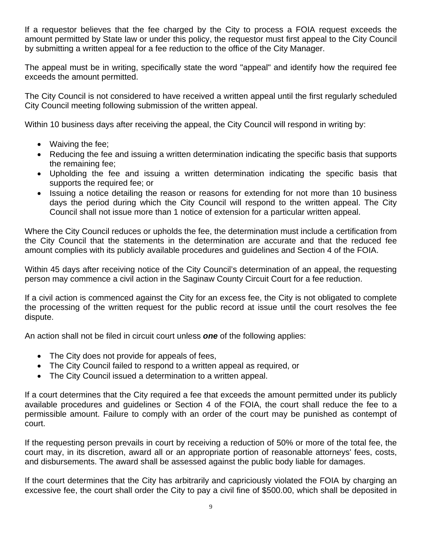If a requestor believes that the fee charged by the City to process a FOIA request exceeds the amount permitted by State law or under this policy, the requestor must first appeal to the City Council by submitting a written appeal for a fee reduction to the office of the City Manager.

The appeal must be in writing, specifically state the word "appeal" and identify how the required fee exceeds the amount permitted.

The City Council is not considered to have received a written appeal until the first regularly scheduled City Council meeting following submission of the written appeal.

Within 10 business days after receiving the appeal, the City Council will respond in writing by:

- Waiving the fee:
- Reducing the fee and issuing a written determination indicating the specific basis that supports the remaining fee;
- Upholding the fee and issuing a written determination indicating the specific basis that supports the required fee; or
- Issuing a notice detailing the reason or reasons for extending for not more than 10 business days the period during which the City Council will respond to the written appeal. The City Council shall not issue more than 1 notice of extension for a particular written appeal.

Where the City Council reduces or upholds the fee, the determination must include a certification from the City Council that the statements in the determination are accurate and that the reduced fee amount complies with its publicly available procedures and guidelines and Section 4 of the FOIA.

Within 45 days after receiving notice of the City Council's determination of an appeal, the requesting person may commence a civil action in the Saginaw County Circuit Court for a fee reduction.

If a civil action is commenced against the City for an excess fee, the City is not obligated to complete the processing of the written request for the public record at issue until the court resolves the fee dispute.

An action shall not be filed in circuit court unless *one* of the following applies:

- The City does not provide for appeals of fees,
- The City Council failed to respond to a written appeal as required, or
- The City Council issued a determination to a written appeal.

If a court determines that the City required a fee that exceeds the amount permitted under its publicly available procedures and guidelines or Section 4 of the FOIA, the court shall reduce the fee to a permissible amount. Failure to comply with an order of the court may be punished as contempt of court.

If the requesting person prevails in court by receiving a reduction of 50% or more of the total fee, the court may, in its discretion, award all or an appropriate portion of reasonable attorneys' fees, costs, and disbursements. The award shall be assessed against the public body liable for damages.

If the court determines that the City has arbitrarily and capriciously violated the FOIA by charging an excessive fee, the court shall order the City to pay a civil fine of \$500.00, which shall be deposited in